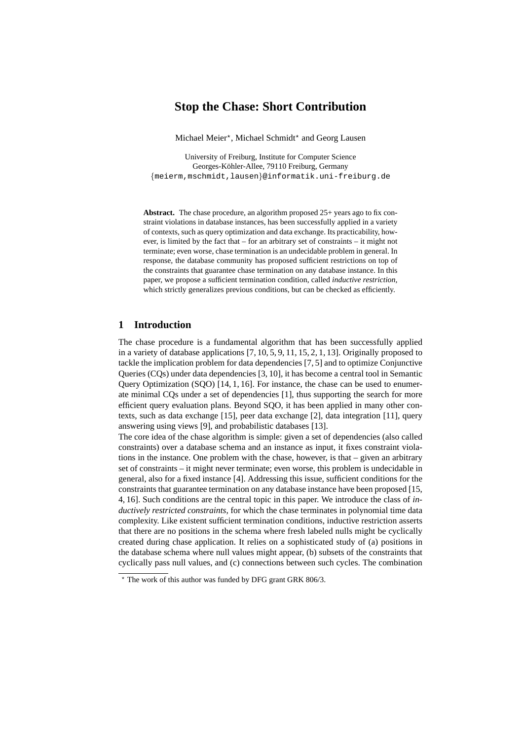# **Stop the Chase: Short Contribution**

Michael Meier\*, Michael Schmidt\* and Georg Lausen

University of Freiburg, Institute for Computer Science Georges-Köhler-Allee, 79110 Freiburg, Germany {meierm,mschmidt,lausen}@informatik.uni-freiburg.de

**Abstract.** The chase procedure, an algorithm proposed 25+ years ago to fix constraint violations in database instances, has been successfully applied in a variety of contexts, such as query optimization and data exchange. Its practicability, however, is limited by the fact that – for an arbitrary set of constraints – it might not terminate; even worse, chase termination is an undecidable problem in general. In response, the database community has proposed sufficient restrictions on top of the constraints that guarantee chase termination on any database instance. In this paper, we propose a sufficient termination condition, called *inductive restriction*, which strictly generalizes previous conditions, but can be checked as efficiently.

### **1 Introduction**

The chase procedure is a fundamental algorithm that has been successfully applied in a variety of database applications [7, 10, 5, 9, 11, 15, 2, 1, 13]. Originally proposed to tackle the implication problem for data dependencies [7, 5] and to optimize Conjunctive Queries (CQs) under data dependencies [3, 10], it has become a central tool in Semantic Query Optimization (SQO) [14, 1, 16]. For instance, the chase can be used to enumerate minimal CQs under a set of dependencies [1], thus supporting the search for more efficient query evaluation plans. Beyond SQO, it has been applied in many other contexts, such as data exchange [15], peer data exchange [2], data integration [11], query answering using views [9], and probabilistic databases [13].

The core idea of the chase algorithm is simple: given a set of dependencies (also called constraints) over a database schema and an instance as input, it fixes constraint violations in the instance. One problem with the chase, however, is that – given an arbitrary set of constraints – it might never terminate; even worse, this problem is undecidable in general, also for a fixed instance [4]. Addressing this issue, sufficient conditions for the constraints that guarantee termination on any database instance have been proposed [15, 4, 16]. Such conditions are the central topic in this paper. We introduce the class of *inductively restricted constraints*, for which the chase terminates in polynomial time data complexity. Like existent sufficient termination conditions, inductive restriction asserts that there are no positions in the schema where fresh labeled nulls might be cyclically created during chase application. It relies on a sophisticated study of (a) positions in the database schema where null values might appear, (b) subsets of the constraints that cyclically pass null values, and (c) connections between such cycles. The combination

 $\star$  The work of this author was funded by DFG grant GRK 806/3.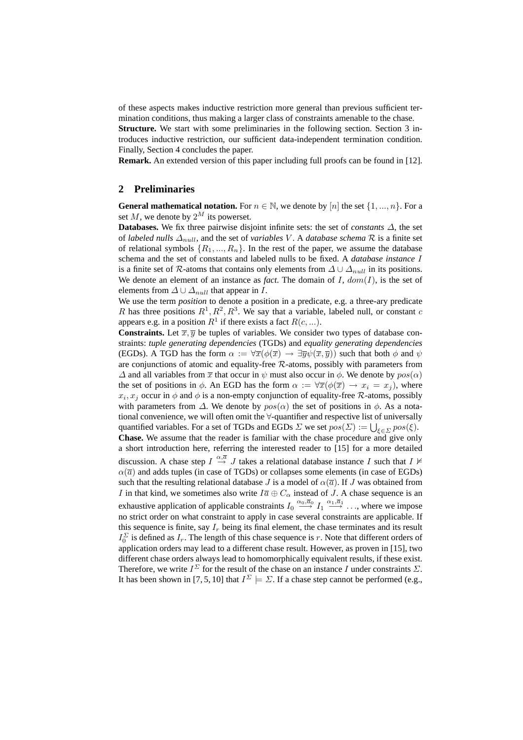of these aspects makes inductive restriction more general than previous sufficient termination conditions, thus making a larger class of constraints amenable to the chase.

**Structure.** We start with some preliminaries in the following section. Section 3 introduces inductive restriction, our sufficient data-independent termination condition. Finally, Section 4 concludes the paper.

**Remark.** An extended version of this paper including full proofs can be found in [12].

#### **2 Preliminaries**

**General mathematical notation.** For  $n \in \mathbb{N}$ , we denote by [n] the set  $\{1, ..., n\}$ . For a set M, we denote by  $2^M$  its powerset.

**Databases.** We fix three pairwise disjoint infinite sets: the set of *constants* ∆, the set of *labeled nulls*  $\Delta_{null}$ , and the set of *variables* V. A *database schema* R is a finite set of relational symbols  $\{R_1, ..., R_n\}$ . In the rest of the paper, we assume the database schema and the set of constants and labeled nulls to be fixed. A *database instance* I is a finite set of R-atoms that contains only elements from  $\Delta \cup \Delta_{null}$  in its positions. We denote an element of an instance as *fact*. The domain of  $I$ ,  $dom(I)$ , is the set of elements from  $\Delta \cup \Delta_{null}$  that appear in I.

We use the term *position* to denote a position in a predicate, e.g. a three-ary predicate R has three positions  $R^1, R^2, R^3$ . We say that a variable, labeled null, or constant c appears e.g. in a position  $R^1$  if there exists a fact  $R(c,...)$ .

**Constraints.** Let  $\overline{x}$ ,  $\overline{y}$  be tuples of variables. We consider two types of database constraints: *tuple generating dependencies* (TGDs) and *equality generating dependencies* (EGDs). A TGD has the form  $\alpha := \forall \overline{x}(\phi(\overline{x}) \rightarrow \exists \overline{y}\psi(\overline{x}, \overline{y}))$  such that both  $\phi$  and  $\psi$ are conjunctions of atomic and equality-free  $R$ -atoms, possibly with parameters from  $\Delta$  and all variables from  $\bar{x}$  that occur in  $\psi$  must also occur in  $\phi$ . We denote by  $pos(\alpha)$ the set of positions in  $\phi$ . An EGD has the form  $\alpha := \forall \overline{x}(\phi(\overline{x}) \rightarrow x_i = x_j)$ , where  $x_i, x_j$  occur in  $\phi$  and  $\phi$  is a non-empty conjunction of equality-free R-atoms, possibly with parameters from  $\Delta$ . We denote by  $pos(\alpha)$  the set of positions in  $\phi$ . As a notational convenience, we will often omit the ∀-quantifier and respective list of universally quantified variables. For a set of TGDs and EGDs  $\Sigma$  we set  $pos(\Sigma) := \bigcup_{\xi \in \Sigma} pos(\xi)$ . **Chase.** We assume that the reader is familiar with the chase procedure and give only a short introduction here, referring the interested reader to [15] for a more detailed discussion. A chase step  $I \stackrel{\alpha, \overline{a}}{\rightarrow} J$  takes a relational database instance I such that  $I \not\vDash$  $\alpha(\overline{a})$  and adds tuples (in case of TGDs) or collapses some elements (in case of EGDs) such that the resulting relational database J is a model of  $\alpha(\overline{a})$ . If J was obtained from I in that kind, we sometimes also write  $I\overline{a} \oplus C_{\alpha}$  instead of J. A chase sequence is an exhaustive application of applicable constraints  $I_0 \stackrel{\alpha_0,\overline{\alpha}_0}{\longrightarrow} I_1 \stackrel{\alpha_1,\overline{\alpha}_1}{\longrightarrow} \dots$ , where we impose no strict order on what constraint to apply in case several constraints are applicable. If this sequence is finite, say  $I_r$  being its final element, the chase terminates and its result  $I_0^{\Sigma}$  is defined as  $I_r$ . The length of this chase sequence is r. Note that different orders of application orders may lead to a different chase result. However, as proven in [15], two different chase orders always lead to homomorphically equivalent results, if these exist. Therefore, we write  $I^{\Sigma}$  for the result of the chase on an instance I under constraints  $\Sigma$ . It has been shown in [7, 5, 10] that  $I^{\Sigma} \models \Sigma$ . If a chase step cannot be performed (e.g.,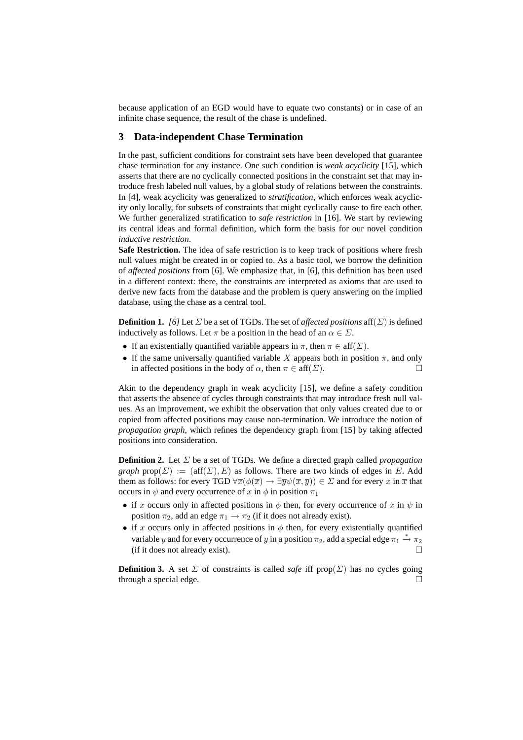because application of an EGD would have to equate two constants) or in case of an infinite chase sequence, the result of the chase is undefined.

## **3 Data-independent Chase Termination**

In the past, sufficient conditions for constraint sets have been developed that guarantee chase termination for any instance. One such condition is *weak acyclicity* [15], which asserts that there are no cyclically connected positions in the constraint set that may introduce fresh labeled null values, by a global study of relations between the constraints. In [4], weak acyclicity was generalized to *stratification*, which enforces weak acyclicity only locally, for subsets of constraints that might cyclically cause to fire each other. We further generalized stratification to *safe restriction* in [16]. We start by reviewing its central ideas and formal definition, which form the basis for our novel condition *inductive restriction*.

**Safe Restriction.** The idea of safe restriction is to keep track of positions where fresh null values might be created in or copied to. As a basic tool, we borrow the definition of *affected positions* from [6]. We emphasize that, in [6], this definition has been used in a different context: there, the constraints are interpreted as axioms that are used to derive new facts from the database and the problem is query answering on the implied database, using the chase as a central tool.

**Definition 1.** *[6]* Let  $\Sigma$  be a set of TGDs. The set of *affected positions* aff $(\Sigma)$  is defined inductively as follows. Let  $\pi$  be a position in the head of an  $\alpha \in \Sigma$ .

- If an existentially quantified variable appears in  $\pi$ , then  $\pi \in \text{aff}(\Sigma)$ .
- If the same universally quantified variable X appears both in position  $\pi$ , and only in affected positions in the body of  $\alpha$ , then  $\pi \in \text{aff}(\Sigma)$ .

Akin to the dependency graph in weak acyclicity [15], we define a safety condition that asserts the absence of cycles through constraints that may introduce fresh null values. As an improvement, we exhibit the observation that only values created due to or copied from affected positions may cause non-termination. We introduce the notion of *propagation graph*, which refines the dependency graph from [15] by taking affected positions into consideration.

**Definition 2.** Let Σ be a set of TGDs. We define a directed graph called *propagation graph*  $prop(\Sigma) := (aff(\Sigma), E)$  as follows. There are two kinds of edges in E. Add them as follows: for every TGD  $\forall \overline{x}(\phi(\overline{x}) \to \exists \overline{y}\psi(\overline{x}, \overline{y})) \in \Sigma$  and for every x in  $\overline{x}$  that occurs in  $\psi$  and every occurrence of x in  $\phi$  in position  $\pi_1$ 

- if x occurs only in affected positions in  $\phi$  then, for every occurrence of x in  $\psi$  in position  $\pi_2$ , add an edge  $\pi_1 \rightarrow \pi_2$  (if it does not already exist).
- if x occurs only in affected positions in  $\phi$  then, for every existentially quantified variable y and for every occurrence of y in a position  $\pi_2$ , add a special edge  $\pi_1 \stackrel{*}{\rightarrow} \pi_2$ (if it does not already exist).

**Definition 3.** A set  $\Sigma$  of constraints is called *safe* iff prop( $\Sigma$ ) has no cycles going through a special edge.  $\Box$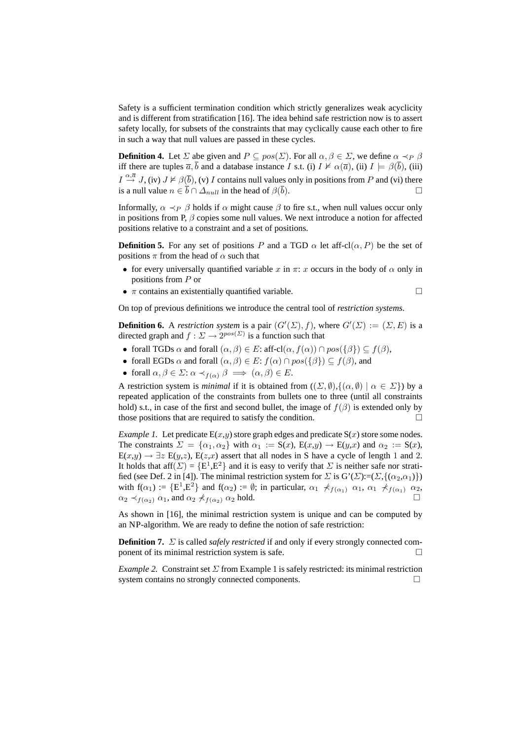Safety is a sufficient termination condition which strictly generalizes weak acyclicity and is different from stratification [16]. The idea behind safe restriction now is to assert safety locally, for subsets of the constraints that may cyclically cause each other to fire in such a way that null values are passed in these cycles.

**Definition 4.** Let  $\Sigma$  abe given and  $P \subseteq pos(\Sigma)$ . For all  $\alpha, \beta \in \Sigma$ , we define  $\alpha \prec_P \beta$ iff there are tuples  $\overline{a}$ ,  $\overline{b}$  and a database instance I s.t. (i)  $I \nvDash \alpha(\overline{a})$ , (ii)  $I \models \beta(\overline{b})$ , (iii)  $I \stackrel{\alpha, \overline{a}}{\rightarrow} J$ , (iv)  $J \nvDash \beta(\overline{b})$ , (v) I contains null values only in positions from P and (vi) there is a null value  $n \in \bar{b} \cap \Delta_{null}$  in the head of  $\beta(\bar{b})$ .

Informally,  $\alpha \prec_P \beta$  holds if  $\alpha$  might cause  $\beta$  to fire s.t., when null values occur only in positions from P,  $\beta$  copies some null values. We next introduce a notion for affected positions relative to a constraint and a set of positions.

**Definition 5.** For any set of positions P and a TGD  $\alpha$  let aff-cl( $\alpha$ , P) be the set of positions  $\pi$  from the head of  $\alpha$  such that

- for every universally quantified variable x in  $\pi$ : x occurs in the body of  $\alpha$  only in positions from P or
- $\pi$  contains an existentially quantified variable.  $\Box$

On top of previous definitions we introduce the central tool of *restriction systems*.

**Definition 6.** A *restriction system* is a pair  $(G'(E), f)$ , where  $G'(\Sigma) := (\Sigma, E)$  is a directed graph and  $f: \Sigma \to 2^{pos(\Sigma)}$  is a function such that

- forall TGDs  $\alpha$  and forall  $(\alpha, \beta) \in E$ : aff-cl $(\alpha, f(\alpha)) \cap pos(\{\beta\}) \subseteq f(\beta)$ ,
- forall EGDs  $\alpha$  and forall  $(\alpha, \beta) \in E$ :  $f(\alpha) \cap pos(\{\beta\}) \subseteq f(\beta)$ , and
- forall  $\alpha, \beta \in \Sigma$ :  $\alpha \prec_{f(\alpha)} \beta \implies (\alpha, \beta) \in E$ .

A restriction system is *minimal* if it is obtained from  $((\Sigma, \emptyset), \{(\alpha, \emptyset) \mid \alpha \in \Sigma\})$  by a repeated application of the constraints from bullets one to three (until all constraints hold) s.t., in case of the first and second bullet, the image of  $f(\beta)$  is extended only by those positions that are required to satisfy the condition.  $\Box$ 

*Example 1.* Let predicate  $E(x,y)$  store graph edges and predicate  $S(x)$  store some nodes. The constraints  $\Sigma = {\alpha_1, \alpha_2}$  with  $\alpha_1 := S(x)$ ,  $E(x,y) \rightarrow E(y,x)$  and  $\alpha_2 := S(x)$ ,  $E(x,y) \rightarrow \exists z E(y,z), E(z,x)$  assert that all nodes in S have a cycle of length 1 and 2. It holds that aff $(\Sigma) = {\{\mathbb{E}^1, \mathbb{E}^2\}}$  and it is easy to verify that  $\Sigma$  is neither safe nor stratified (see Def. 2 in [4]). The minimal restriction system for  $\Sigma$  is  $G'(\Sigma) := (\Sigma, \{(\alpha_2, \alpha_1)\})$ with  $f(\alpha_1) := \{E^1, E^2\}$  and  $f(\alpha_2) := \emptyset$ ; in particular,  $\alpha_1 \nprec_{f(\alpha_1)} \alpha_1$ ,  $\alpha_1 \nprec_{f(\alpha_1)} \alpha_2$ ,  $\alpha_2 \prec_{f(\alpha_2)} \alpha_1$ , and  $\alpha_2 \not\prec_{f(\alpha_2)} \alpha_2$  hold.

As shown in [16], the minimal restriction system is unique and can be computed by an NP-algorithm. We are ready to define the notion of safe restriction:

**Definition 7.** Σ is called *safely restricted* if and only if every strongly connected component of its minimal restriction system is safe.

*Example 2.* Constraint set  $\Sigma$  from Example 1 is safely restricted: its minimal restriction system contains no strongly connected components.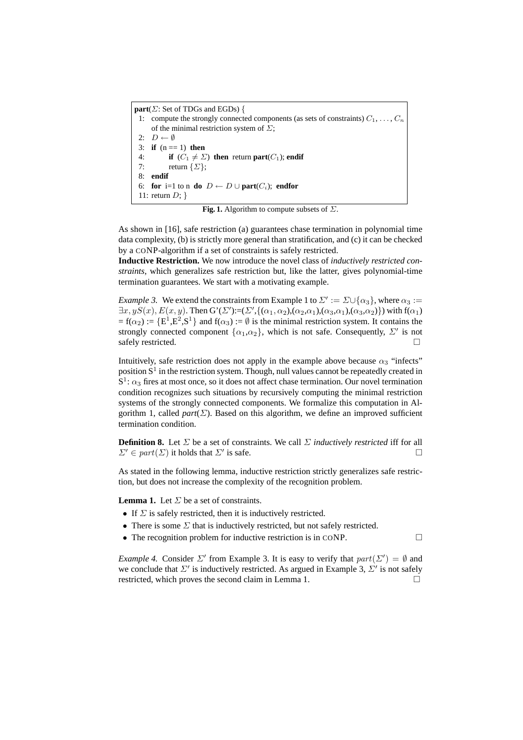| $part(\Sigma)$ : Set of TDGs and EGDs) {                                                 |
|------------------------------------------------------------------------------------------|
| 1: compute the strongly connected components (as sets of constraints) $C_1, \ldots, C_n$ |
| of the minimal restriction system of $\Sigma$ ;                                          |
| 2: $D \leftarrow \emptyset$                                                              |
| 3: <b>if</b> $(n == 1)$ then                                                             |
| 4: if $(C_1 \neq \Sigma)$ then return part $(C_1)$ ; endif                               |
| 7: return $\{\Sigma\};$                                                                  |
| $8:$ endif                                                                               |
| 6: for i=1 to n do $D \leftarrow D \cup part(C_i)$ ; endfor                              |
| 11: return $D;$ }                                                                        |

**Fig. 1.** Algorithm to compute subsets of Σ.

As shown in [16], safe restriction (a) guarantees chase termination in polynomial time data complexity, (b) is strictly more general than stratification, and (c) it can be checked by a CONP-algorithm if a set of constraints is safely restricted.

**Inductive Restriction.** We now introduce the novel class of *inductively restricted constraints*, which generalizes safe restriction but, like the latter, gives polynomial-time termination guarantees. We start with a motivating example.

*Example 3.* We extend the constraints from Example 1 to  $\Sigma' := \Sigma \cup \{\alpha_3\}$ , where  $\alpha_3 :=$  $\exists x, yS(x), E(x, y)$ . Then  $G'(Z') := (\Sigma', \{(\alpha_1, \alpha_2), (\alpha_2, \alpha_1), (\alpha_3, \alpha_1), (\alpha_3, \alpha_2)\})$  with  $f(\alpha_1)$  $= f(\alpha_2) := \{E^1, E^2, S^1\}$  and  $f(\alpha_3) := \emptyset$  is the minimal restriction system. It contains the strongly connected component  $\{\alpha_1,\alpha_2\}$ , which is not safe. Consequently,  $\Sigma'$  is not safely restricted.  $\square$ 

Intuitively, safe restriction does not apply in the example above because  $\alpha_3$  "infects" position  $S^1$  in the restriction system. Though, null values cannot be repeatedly created in  $S^1$ :  $\alpha_3$  fires at most once, so it does not affect chase termination. Our novel termination condition recognizes such situations by recursively computing the minimal restriction systems of the strongly connected components. We formalize this computation in Algorithm 1, called *part*( $\Sigma$ ). Based on this algorithm, we define an improved sufficient termination condition.

**Definition 8.** Let Σ be a set of constraints. We call Σ *inductively restricted* iff for all  $\Sigma' \in part(\Sigma)$  it holds that  $\Sigma'$  is safe. is safe.  $\Box$ 

As stated in the following lemma, inductive restriction strictly generalizes safe restriction, but does not increase the complexity of the recognition problem.

**Lemma 1.** Let  $\Sigma$  be a set of constraints.

- If  $\Sigma$  is safely restricted, then it is inductively restricted.
- There is some  $\Sigma$  that is inductively restricted, but not safely restricted.
- The recognition problem for inductive restriction is in CONP.

*Example 4.* Consider  $\Sigma'$  from Example 3. It is easy to verify that  $part(\Sigma') = \emptyset$  and we conclude that  $\Sigma'$  is inductively restricted. As argued in Example 3,  $\Sigma'$  is not safely restricted, which proves the second claim in Lemma 1.